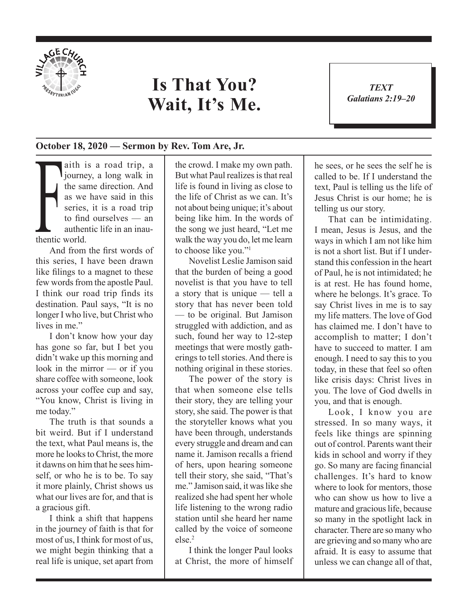

## **Is That You? Wait, It's Me.**

*TEXT Galatians 2:19–20* 1

## **October 18, 2020 — Sermon by Rev. Tom Are, Jr.**

as we series,<br>to find<br>authen<br>thentic world. aith is a road trip, a journey, a long walk in the same direction. And as we have said in this series, it is a road trip to find ourselves — an authentic life in an inau-

And from the first words of this series, I have been drawn like filings to a magnet to these few words from the apostle Paul. I think our road trip finds its destination. Paul says, "It is no longer I who live, but Christ who lives in me."

I don't know how your day has gone so far, but I bet you didn't wake up this morning and look in the mirror — or if you share coffee with someone, look across your coffee cup and say, "You know, Christ is living in me today."

The truth is that sounds a bit weird. But if I understand the text, what Paul means is, the more he looks to Christ, the more it dawns on him that he sees himself, or who he is to be. To say it more plainly, Christ shows us what our lives are for, and that is a gracious gift.

I think a shift that happens in the journey of faith is that for most of us, I think for most of us, we might begin thinking that a real life is unique, set apart from

the crowd. I make my own path. But what Paul realizes is that real life is found in living as close to the life of Christ as we can. It's not about being unique; it's about being like him. In the words of the song we just heard, "Let me walk the way you do, let me learn to choose like you."1

Novelist Leslie Jamison said that the burden of being a good novelist is that you have to tell a story that is unique — tell a story that has never been told — to be original. But Jamison struggled with addiction, and as such, found her way to 12-step meetings that were mostly gatherings to tell stories. And there is nothing original in these stories.

The power of the story is that when someone else tells their story, they are telling your story, she said. The power is that the storyteller knows what you have been through, understands every struggle and dream and can name it. Jamison recalls a friend of hers, upon hearing someone tell their story, she said, "That's me." Jamison said, it was like she realized she had spent her whole life listening to the wrong radio station until she heard her name called by the voice of someone else.2

I think the longer Paul looks at Christ, the more of himself he sees, or he sees the self he is called to be. If I understand the text, Paul is telling us the life of Jesus Christ is our home; he is telling us our story.

That can be intimidating. I mean, Jesus is Jesus, and the ways in which I am not like him is not a short list. But if I understand this confession in the heart of Paul, he is not intimidated; he is at rest. He has found home, where he belongs. It's grace. To say Christ lives in me is to say my life matters. The love of God has claimed me. I don't have to accomplish to matter; I don't have to succeed to matter. I am enough. I need to say this to you today, in these that feel so often like crisis days: Christ lives in you. The love of God dwells in you, and that is enough.

Look, I know you are stressed. In so many ways, it feels like things are spinning out of control. Parents want their kids in school and worry if they go. So many are facing financial challenges. It's hard to know where to look for mentors, those who can show us how to live a mature and gracious life, because so many in the spotlight lack in character. There are so many who are grieving and so many who are afraid. It is easy to assume that unless we can change all of that,